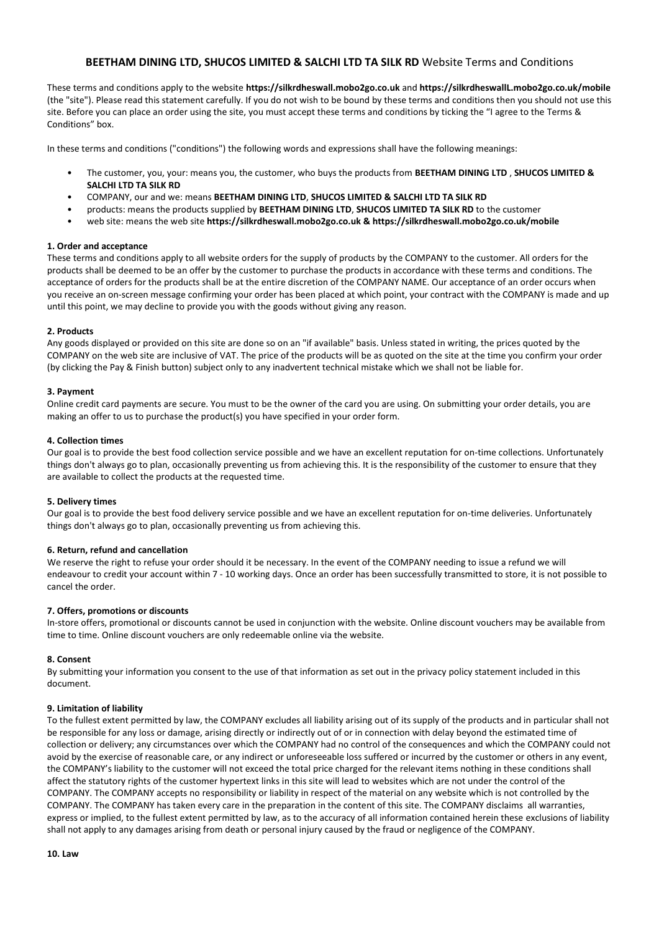# **BEETHAM DINING LTD, SHUCOS LIMITED & SALCHI LTD TA SILK RD** Website Terms and Conditions

These terms and conditions apply to the website **https://silkrdheswall.mobo2go.co.uk** and **https://silkrdheswallL.mobo2go.co.uk/mobile** (the "site"). Please read this statement carefully. If you do not wish to be bound by these terms and conditions then you should not use this site. Before you can place an order using the site, you must accept these terms and conditions by ticking the "I agree to the Terms & Conditions" box.

In these terms and conditions ("conditions") the following words and expressions shall have the following meanings:

- The customer, you, your: means you, the customer, who buys the products from **BEETHAM DINING LTD** , **SHUCOS LIMITED & SALCHI LTD TA SILK RD**
- COMPANY, our and we: means **BEETHAM DINING LTD**, **SHUCOS LIMITED & SALCHI LTD TA SILK RD**
- products: means the products supplied by **BEETHAM DINING LTD**, **SHUCOS LIMITED TA SILK RD** to the customer
- web site: means the web site **https://silkrdheswall.mobo2go.co.uk & https://silkrdheswall.mobo2go.co.uk/mobile**

#### **1. Order and acceptance**

These terms and conditions apply to all website orders for the supply of products by the COMPANY to the customer. All orders for the products shall be deemed to be an offer by the customer to purchase the products in accordance with these terms and conditions. The acceptance of orders for the products shall be at the entire discretion of the COMPANY NAME. Our acceptance of an order occurs when you receive an on-screen message confirming your order has been placed at which point, your contract with the COMPANY is made and up until this point, we may decline to provide you with the goods without giving any reason.

### **2. Products**

Any goods displayed or provided on this site are done so on an "if available" basis. Unless stated in writing, the prices quoted by the COMPANY on the web site are inclusive of VAT. The price of the products will be as quoted on the site at the time you confirm your order (by clicking the Pay & Finish button) subject only to any inadvertent technical mistake which we shall not be liable for.

### **3. Payment**

Online credit card payments are secure. You must to be the owner of the card you are using. On submitting your order details, you are making an offer to us to purchase the product(s) you have specified in your order form.

### **4. Collection times**

Our goal is to provide the best food collection service possible and we have an excellent reputation for on-time collections. Unfortunately things don't always go to plan, occasionally preventing us from achieving this. It is the responsibility of the customer to ensure that they are available to collect the products at the requested time.

#### **5. Delivery times**

Our goal is to provide the best food delivery service possible and we have an excellent reputation for on-time deliveries. Unfortunately things don't always go to plan, occasionally preventing us from achieving this.

### **6. Return, refund and cancellation**

We reserve the right to refuse your order should it be necessary. In the event of the COMPANY needing to issue a refund we will endeavour to credit your account within 7 - 10 working days. Once an order has been successfully transmitted to store, it is not possible to cancel the order.

#### **7. Offers, promotions or discounts**

In-store offers, promotional or discounts cannot be used in conjunction with the website. Online discount vouchers may be available from time to time. Online discount vouchers are only redeemable online via the website.

## **8. Consent**

By submitting your information you consent to the use of that information as set out in the privacy policy statement included in this document.

#### **9. Limitation of liability**

To the fullest extent permitted by law, the COMPANY excludes all liability arising out of its supply of the products and in particular shall not be responsible for any loss or damage, arising directly or indirectly out of or in connection with delay beyond the estimated time of collection or delivery; any circumstances over which the COMPANY had no control of the consequences and which the COMPANY could not avoid by the exercise of reasonable care, or any indirect or unforeseeable loss suffered or incurred by the customer or others in any event, the COMPANY's liability to the customer will not exceed the total price charged for the relevant items nothing in these conditions shall affect the statutory rights of the customer hypertext links in this site will lead to websites which are not under the control of the COMPANY. The COMPANY accepts no responsibility or liability in respect of the material on any website which is not controlled by the COMPANY. The COMPANY has taken every care in the preparation in the content of this site. The COMPANY disclaims all warranties, express or implied, to the fullest extent permitted by law, as to the accuracy of all information contained herein these exclusions of liability shall not apply to any damages arising from death or personal injury caused by the fraud or negligence of the COMPANY.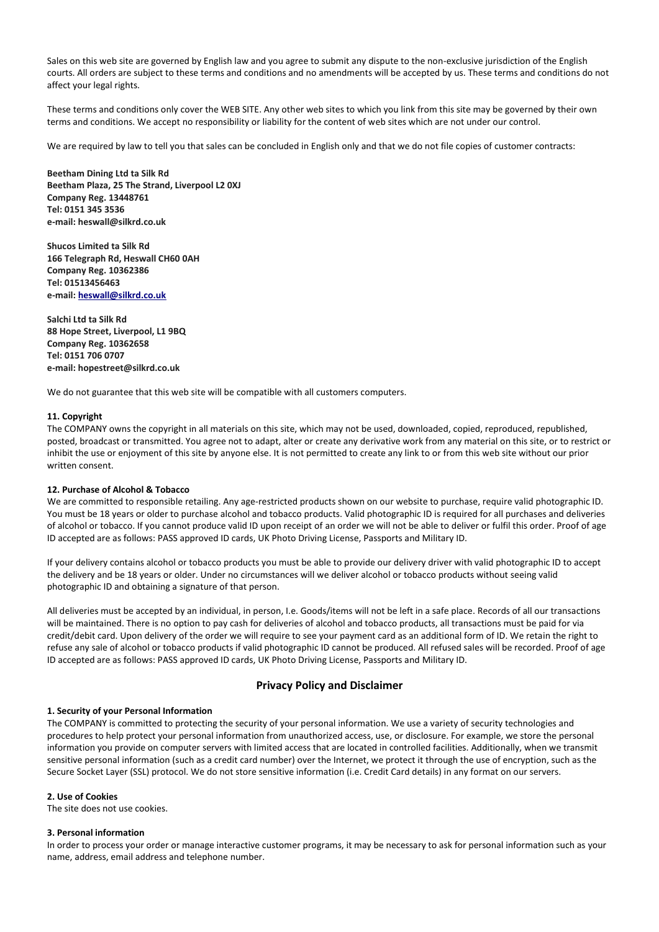Sales on this web site are governed by English law and you agree to submit any dispute to the non-exclusive jurisdiction of the English courts. All orders are subject to these terms and conditions and no amendments will be accepted by us. These terms and conditions do not affect your legal rights.

These terms and conditions only cover the WEB SITE. Any other web sites to which you link from this site may be governed by their own terms and conditions. We accept no responsibility or liability for the content of web sites which are not under our control.

We are required by law to tell you that sales can be concluded in English only and that we do not file copies of customer contracts:

**Beetham Dining Ltd ta Silk Rd Beetham Plaza, 25 The Strand, Liverpool L2 0XJ Company Reg. 13448761 Tel: 0151 345 3536 e-mail: heswall@silkrd.co.uk**

**Shucos Limited ta Silk Rd 166 Telegraph Rd, Heswall CH60 0AH Company Reg. 10362386 Tel: 01513456463 e-mail[: heswall@silkrd.co.uk](mailto:heswall@silkrd.co.uk)**

**Salchi Ltd ta Silk Rd 88 Hope Street, Liverpool, L1 9BQ Company Reg. 10362658 Tel: 0151 706 0707 e-mail: hopestreet@silkrd.co.uk**

We do not guarantee that this web site will be compatible with all customers computers.

#### **11. Copyright**

The COMPANY owns the copyright in all materials on this site, which may not be used, downloaded, copied, reproduced, republished, posted, broadcast or transmitted. You agree not to adapt, alter or create any derivative work from any material on this site, or to restrict or inhibit the use or enjoyment of this site by anyone else. It is not permitted to create any link to or from this web site without our prior written consent.

# **12. Purchase of Alcohol & Tobacco**

We are committed to responsible retailing. Any age-restricted products shown on our website to purchase, require valid photographic ID. You must be 18 years or older to purchase alcohol and tobacco products. Valid photographic ID is required for all purchases and deliveries of alcohol or tobacco. If you cannot produce valid ID upon receipt of an order we will not be able to deliver or fulfil this order. Proof of age ID accepted are as follows: PASS approved ID cards, UK Photo Driving License, Passports and Military ID.

If your delivery contains alcohol or tobacco products you must be able to provide our delivery driver with valid photographic ID to accept the delivery and be 18 years or older. Under no circumstances will we deliver alcohol or tobacco products without seeing valid photographic ID and obtaining a signature of that person.

All deliveries must be accepted by an individual, in person, I.e. Goods/items will not be left in a safe place. Records of all our transactions will be maintained. There is no option to pay cash for deliveries of alcohol and tobacco products, all transactions must be paid for via credit/debit card. Upon delivery of the order we will require to see your payment card as an additional form of ID. We retain the right to refuse any sale of alcohol or tobacco products if valid photographic ID cannot be produced. All refused sales will be recorded. Proof of age ID accepted are as follows: PASS approved ID cards, UK Photo Driving License, Passports and Military ID.

## **Privacy Policy and Disclaimer**

#### **1. Security of your Personal Information**

The COMPANY is committed to protecting the security of your personal information. We use a variety of security technologies and procedures to help protect your personal information from unauthorized access, use, or disclosure. For example, we store the personal information you provide on computer servers with limited access that are located in controlled facilities. Additionally, when we transmit sensitive personal information (such as a credit card number) over the Internet, we protect it through the use of encryption, such as the Secure Socket Layer (SSL) protocol. We do not store sensitive information (i.e. Credit Card details) in any format on our servers.

#### **2. Use of Cookies**

The site does not use cookies.

### **3. Personal information**

In order to process your order or manage interactive customer programs, it may be necessary to ask for personal information such as your name, address, email address and telephone number.